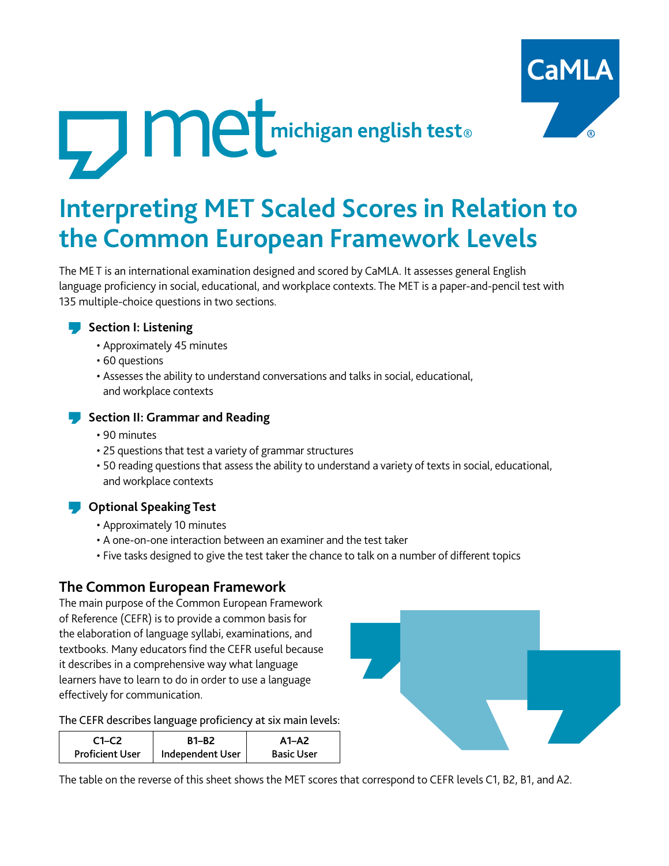



# **Interpreting MET Scaled Scores in Relation to the Common European Framework Levels**

The ME T is an international examination designed and scored by CaMLA. It assesses general English language proficiency in social, educational, and workplace contexts. The MET is a paper-and-pencil test with 135 multiple-choice questions in two sections.



- Approximately 45 minutes
- 60 questions
- Assesses the ability to understand conversations and talks in social, educational, and workplace contexts



#### **Section II: Grammar and Reading**

- 90 minutes
- 25 questions that test a variety of grammar structures
- 50 reading questions that assess the ability to understand a variety of texts in social, educational, and workplace contexts

### **Optional Speaking Test**

- Approximately 10 minutes
- A one-on-one interaction between an examiner and the test taker
- Five tasks designed to give the test taker the chance to talk on a number of different topics

## **The Common European Framework**

The main purpose of the Common European Framework of Reference (CEFR) is to provide a common basis for the elaboration of language syllabi, examinations, and textbooks. Many educators find the CEFR useful because it describes in a comprehensive way what language learners have to learn to do in order to use a language effectively for communication.

The CEFR describes language proficiency at six main levels:

| $C1-C2$                | <b>B1-B2</b>     | $A1 - A2$         |
|------------------------|------------------|-------------------|
| <b>Proficient User</b> | Independent User | <b>Basic User</b> |



The table on the reverse of this sheet shows the MET scores that correspond to CEFR levels C1, B2, B1, and A2.